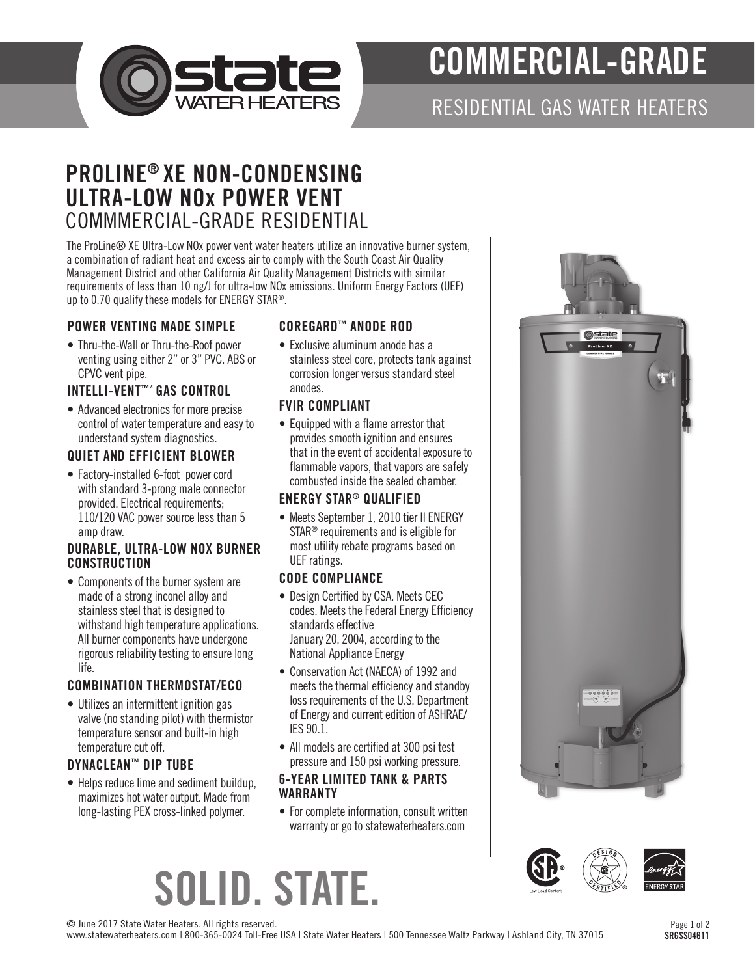

# COMMERCIAL-GRADE

# RESIDENTIAL GAS WATER HEATERS

# PROLINE® XE NON-CONDENSING ULTRA-LOW NOx POWER VENT COMMMERCIAL-GRADE RESIDENTIAL

The ProLine® XE Ultra-Low NOx power vent water heaters utilize an innovative burner system, a combination of radiant heat and excess air to comply with the South Coast Air Quality Management District and other California Air Quality Management Districts with similar requirements of less than 10 ng/J for ultra-low NOx emissions. Uniform Energy Factors (UEF) up to 0.70 qualify these models for ENERGY STAR®.

#### POWER VENTING MADE SIMPLE

• Thru-the-Wall or Thru-the-Roof power venting using either 2" or 3" PVC. ABS or CPVC vent pipe.

# INTELLI-VENT™\* GAS CONTROL

• Advanced electronics for more precise control of water temperature and easy to understand system diagnostics.

## QUIET AND EFFICIENT BLOWER

• Factory-installed 6-foot power cord with standard 3-prong male connector provided. Electrical requirements; 110/120 VAC power source less than 5 amp draw.

#### DURABLE, ULTRA-LOW NOX BURNER **CONSTRUCTION**

• Components of the burner system are made of a strong inconel alloy and stainless steel that is designed to withstand high temperature applications. All burner components have undergone rigorous reliability testing to ensure long life.

## COMBINATION THERMOSTAT/ECO

• Utilizes an intermittent ignition gas valve (no standing pilot) with thermistor temperature sensor and built-in high temperature cut off.

## DYNACLEAN™ DIP TUBE

• Helps reduce lime and sediment buildup, maximizes hot water output. Made from long-lasting PEX cross-linked polymer.

## COREGARD™ ANODE ROD

• Exclusive aluminum anode has a stainless steel core, protects tank against corrosion longer versus standard steel anodes.

#### FVIR COMPLIANT

• Equipped with a flame arrestor that provides smooth ignition and ensures that in the event of accidental exposure to flammable vapors, that vapors are safely combusted inside the sealed chamber.

#### ENERGY STAR® QUALIFIED

• Meets September 1, 2010 tier II ENERGY STAR® requirements and is eligible for most utility rebate programs based on UEF ratings.

#### CODE COMPLIANCE

- Design Certified by CSA. Meets CEC codes. Meets the Federal Energy Efficiency standards effective January 20, 2004, according to the National Appliance Energy
- Conservation Act (NAECA) of 1992 and meets the thermal efficiency and standby loss requirements of the U.S. Department of Energy and current edition of ASHRAE/ IES 90.1.
- All models are certified at 300 psi test pressure and 150 psi working pressure.

#### 6-YEAR LIMITED TANK & PARTS WARRANTY

• For complete information, consult written warranty or go to statewaterheaters.com





© June 2017 State Water Heaters. All rights reserved.

www.statewaterheaters.com | 800-365-0024 Toll-Free USA | State Water Heaters | 500 Tennessee Waltz Parkway | Ashland City, TN 37015

SOLID. STATE.